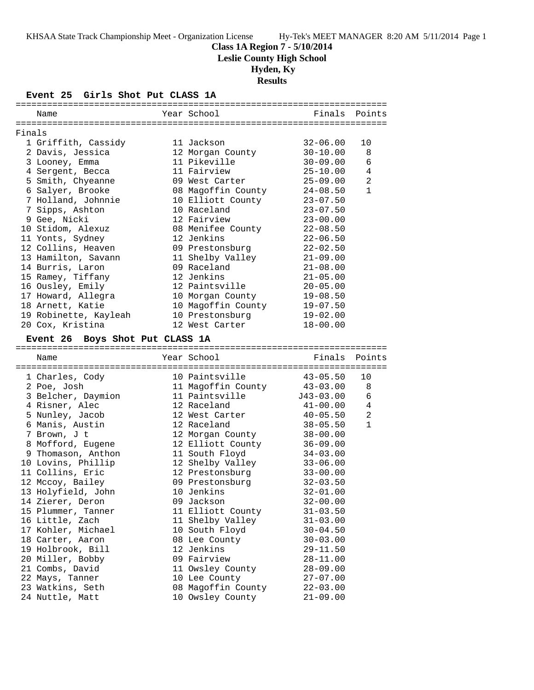**Class 1A Region 7 - 5/10/2014**

**Leslie County High School**

# **Hyden, Ky**

**Results**

**Event 25 Girls Shot Put CLASS 1A**

|        | Name                                   | Year School                           |                              | Finals Points |
|--------|----------------------------------------|---------------------------------------|------------------------------|---------------|
|        |                                        |                                       |                              |               |
| Finals |                                        |                                       |                              |               |
|        | 1 Griffith, Cassidy                    | 11 Jackson                            | $32 - 06.00$                 | 10            |
|        | 2 Davis, Jessica                       | 12 Morgan County                      | $30 - 10.00$                 | 8             |
|        | 3 Looney, Emma                         | 11 Pikeville                          | $30 - 09.00$                 | 6             |
|        | 4 Sergent, Becca                       | 11 Fairview                           | $25 - 10.00$                 | 4             |
|        | 5 Smith, Chyeanne                      | 09 West Carter                        | $25 - 09.00$                 | 2             |
|        | 6 Salyer, Brooke                       | 08 Magoffin County                    | $24 - 08.50$                 | $\mathbf{1}$  |
|        | 7 Holland, Johnnie                     | 10 Elliott County                     | $23 - 07.50$                 |               |
|        | 7 Sipps, Ashton                        | 10 Raceland                           | $23 - 07.50$                 |               |
|        | 9 Gee, Nicki                           | 12 Fairview                           | $23 - 00.00$                 |               |
|        | 10 Stidom, Alexuz                      | 08 Menifee County                     | $22 - 08.50$                 |               |
|        | 11 Yonts, Sydney                       | 12 Jenkins                            | $22 - 06.50$                 |               |
|        | 12 Collins, Heaven                     | 09 Prestonsburg                       | $22 - 02.50$                 |               |
|        | 13 Hamilton, Savann                    | 11 Shelby Valley                      | $21 - 09.00$                 |               |
|        | 14 Burris, Laron                       | 09 Raceland                           | $21 - 08.00$                 |               |
|        | 15 Ramey, Tiffany                      | 12 Jenkins                            | $21 - 05.00$                 |               |
|        | 16 Ousley, Emily                       | 12 Paintsville                        | $20 - 05.00$                 |               |
|        | 17 Howard, Allegra                     | 10 Morgan County                      | $19 - 08.50$                 |               |
|        | 18 Arnett, Katie                       | 10 Magoffin County                    | $19 - 07.50$                 |               |
|        | 19 Robinette, Kayleah                  | 10 Prestonsburg                       | $19 - 02.00$                 |               |
|        | 20 Cox, Kristina                       | 12 West Carter                        | $18 - 00.00$                 |               |
|        | Event 26 Boys Shot Put CLASS 1A        |                                       |                              |               |
|        |                                        |                                       |                              |               |
|        |                                        |                                       |                              |               |
|        | Name                                   | Year School                           | Finals                       | Points        |
|        |                                        |                                       |                              | 10            |
|        | 1 Charles, Cody                        | 10 Paintsville                        | $43 - 05.50$                 | 8             |
|        | 2 Poe, Josh                            | 11 Magoffin County<br>11 Paintsville  | $43 - 03.00$<br>$J43-03.00$  | 6             |
|        | 3 Belcher, Daymion                     | 12 Raceland                           |                              | 4             |
|        | 4 Risner, Alec                         |                                       | $41 - 00.00$<br>$40 - 05.50$ | 2             |
|        | 5 Nunley, Jacob                        | 12 West Carter<br>12 Raceland         | $38 - 05.50$                 | $\mathbf{1}$  |
|        | 6 Manis, Austin                        |                                       |                              |               |
|        | 7 Brown, J t                           | 12 Morgan County<br>12 Elliott County | $38 - 00.00$<br>$36 - 09.00$ |               |
|        | 8 Mofford, Eugene                      |                                       |                              |               |
|        | 9 Thomason, Anthon                     | 11 South Floyd                        | $34 - 03.00$<br>$33 - 06.00$ |               |
|        | 10 Lovins, Phillip<br>11 Collins, Eric | 12 Shelby Valley<br>12 Prestonsburg   | $33 - 00.00$                 |               |
|        |                                        |                                       | $32 - 03.50$                 |               |
|        | 12 Mccoy, Bailey                       | 09 Prestonsburg                       |                              |               |
|        | 13 Holyfield, John                     | 10 Jenkins<br>09 Jackson              | $32 - 01.00$                 |               |
|        | 14 Zierer, Deron                       |                                       | $32 - 00.00$                 |               |
|        | 15 Plummer, Tanner                     | 11 Elliott County                     | $31 - 03.50$                 |               |
|        | 16 Little, Zach<br>17 Kohler, Michael  | 11 Shelby Valley                      | $31 - 03.00$                 |               |
|        |                                        | 10 South Floyd<br>08 Lee County       | $30 - 04.50$                 |               |
|        | 18 Carter, Aaron<br>19 Holbrook, Bill  | 12 Jenkins                            | $30 - 03.00$<br>$29 - 11.50$ |               |
|        | 20 Miller, Bobby                       | 09 Fairview                           | $28 - 11.00$                 |               |
|        |                                        |                                       |                              |               |
|        | 21 Combs, David<br>22 Mays, Tanner     | 11 Owsley County<br>10 Lee County     | $28 - 09.00$<br>$27 - 07.00$ |               |
|        | 23 Watkins, Seth                       | 08 Magoffin County                    | $22 - 03.00$                 |               |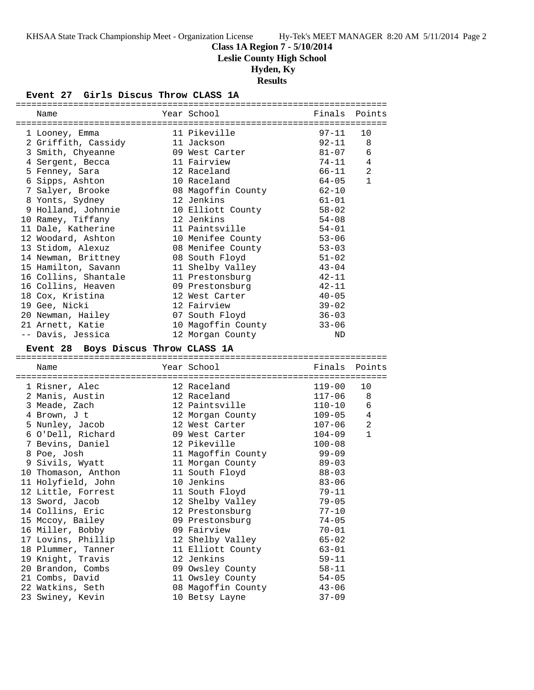**Class 1A Region 7 - 5/10/2014**

**Leslie County High School**

 **Hyden, Ky**

**Results**

### **Event 27 Girls Discus Throw CLASS 1A**

| Name                                      | Year School                            | Finals                 | Points         |
|-------------------------------------------|----------------------------------------|------------------------|----------------|
|                                           |                                        |                        |                |
| 1 Looney, Emma                            | 11 Pikeville                           | $97 - 11$              | 10             |
| 2 Griffith, Cassidy                       | 11 Jackson                             | $92 - 11$              | 8              |
| 3 Smith, Chyeanne                         | 09 West Carter                         | $81 - 07$              | 6              |
| 4 Sergent, Becca                          | 11 Fairview                            | $74 - 11$              | 4              |
| 5 Fenney, Sara                            | 12 Raceland                            | 66-11                  | 2              |
| 6 Sipps, Ashton                           | 10 Raceland                            | $64 - 05$              | $\mathbf{1}$   |
| 7 Salyer, Brooke                          | 08 Magoffin County                     | $62 - 10$              |                |
| 8 Yonts, Sydney                           | 12 Jenkins                             | $61 - 01$              |                |
| 9 Holland, Johnnie                        | 10 Elliott County                      | $58 - 02$              |                |
| 10 Ramey, Tiffany                         | 12 Jenkins                             | $54 - 08$              |                |
| 11 Dale, Katherine                        | 11 Paintsville                         | $54 - 01$              |                |
| 12 Woodard, Ashton                        | 10 Menifee County                      | $53 - 06$              |                |
| 13 Stidom, Alexuz                         | 08 Menifee County                      | $53 - 03$              |                |
| 14 Newman, Brittney                       | 08 South Floyd                         | $51 - 02$              |                |
| 15 Hamilton, Savann                       | 11 Shelby Valley                       | $43 - 04$              |                |
| 16 Collins, Shantale                      | 11 Prestonsburg                        | $42 - 11$              |                |
| 16 Collins, Heaven                        | 09 Prestonsburg                        | $42 - 11$              |                |
| 18 Cox, Kristina                          | 12 West Carter                         | $40 - 05$              |                |
| 19 Gee, Nicki                             | 12 Fairview                            | $39 - 02$              |                |
| 20 Newman, Hailey                         | 07 South Floyd                         | $36 - 03$              |                |
| 21 Arnett, Katie                          | 10 Magoffin County                     | $33 - 06$              |                |
| -- Davis, Jessica                         | 12 Morgan County                       | ND                     |                |
| Event 28 Boys Discus Throw CLASS 1A       |                                        |                        |                |
|                                           |                                        |                        |                |
|                                           |                                        |                        |                |
| Name                                      | Year School                            | Finals Points          |                |
|                                           |                                        |                        |                |
| 1 Risner, Alec                            | 12 Raceland                            | 119-00                 | 10             |
| 2 Manis, Austin                           | 12 Raceland                            | $117 - 06$             | 8              |
| 3 Meade, Zach                             | 12 Paintsville                         | $110 - 10$             | 6              |
| 4 Brown, J t                              |                                        |                        | $\overline{4}$ |
| 5 Nunley, Jacob                           | 12 Morgan County<br>12 West Carter     | $109 - 05$<br>107-06   | $\overline{a}$ |
| 6 O'Dell, Richard                         | 09 West Carter                         | $104 - 09$             | $\mathbf{1}$   |
| 7 Bevins, Daniel                          | 12 Pikeville                           | $100 - 08$             |                |
| 8 Poe, Josh                               |                                        | $99 - 09$              |                |
|                                           | 11 Magoffin County<br>11 Morgan County |                        |                |
| 9 Sivils, Wyatt                           |                                        | $89 - 03$<br>$88 - 03$ |                |
| 10 Thomason, Anthon<br>11 Holyfield, John | 11 South Floyd<br>10 Jenkins           | $83 - 06$              |                |
|                                           |                                        | $79 - 11$              |                |
| 12 Little, Forrest                        | 11 South Floyd                         | 79–05                  |                |
| 13 Sword, Jacob                           | 12 Shelby Valley<br>12 Prestonsburg    |                        |                |
| 14 Collins, Eric                          |                                        | $77 - 10$              |                |
| 15 Mccoy, Bailey                          | 09 Prestonsburg                        | $74 - 05$<br>$70 - 01$ |                |
| 16 Miller, Bobby                          | 09 Fairview                            |                        |                |
| 17 Lovins, Phillip                        | 12 Shelby Valley                       | $65 - 02$              |                |
| 18 Plummer, Tanner                        | 11 Elliott County<br>12 Jenkins        | $63 - 01$              |                |
| 19 Knight, Travis                         |                                        | $59 - 11$              |                |
| 20 Brandon, Combs                         | 09 Owsley County                       | $58 - 11$              |                |
| 21 Combs, David<br>22 Watkins, Seth       | 11 Owsley County<br>08 Magoffin County | $54 - 05$<br>$43 - 06$ |                |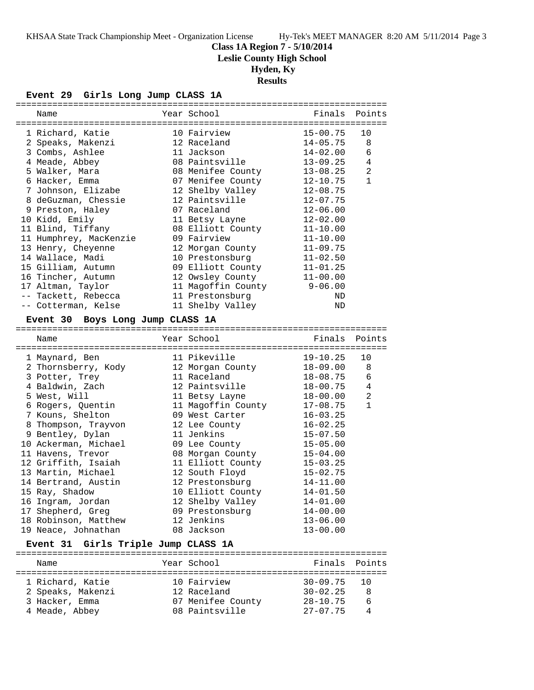**Class 1A Region 7 - 5/10/2014**

**Leslie County High School**

## **Hyden, Ky**

## **Results**

#### **Event 29 Girls Long Jump CLASS 1A**

| Name                                       | Year School                         | Finals       | Points         |
|--------------------------------------------|-------------------------------------|--------------|----------------|
| 1 Richard, Katie                           | 10 Fairview                         | $15 - 00.75$ | 10             |
| 2 Speaks, Makenzi                          | 12 Raceland                         | $14 - 05.75$ | 8              |
| 3 Combs, Ashlee                            | 11 Jackson                          | $14 - 02.00$ | 6              |
| 4 Meade, Abbey                             | 08 Paintsville                      | $13 - 09.25$ | 4              |
| 5 Walker, Mara                             | 08 Menifee County                   | $13 - 08.25$ | 2              |
| 6 Hacker, Emma                             | 07 Menifee County                   | $12 - 10.75$ | $\mathbf{1}$   |
| 7 Johnson, Elizabe                         | 12 Shelby Valley                    | $12 - 08.75$ |                |
| 8 deGuzman, Chessie                        | 12 Paintsville                      | $12 - 07.75$ |                |
| 9 Preston, Haley                           | 07 Raceland                         | $12 - 06.00$ |                |
| 10 Kidd, Emily                             | 11 Betsy Layne                      | $12 - 02.00$ |                |
| 11 Blind, Tiffany                          | 08 Elliott County                   | $11 - 10.00$ |                |
| 11 Humphrey, MacKenzie                     | 09 Fairview                         | $11 - 10.00$ |                |
| 13 Henry, Cheyenne                         | 12 Morgan County                    | $11 - 09.75$ |                |
| 14 Wallace, Madi                           | 10 Prestonsburg                     | $11 - 02.50$ |                |
| 15 Gilliam, Autumn                         | 09 Elliott County                   | $11 - 01.25$ |                |
| 16 Tincher, Autumn                         | 12 Owsley County                    | $11 - 00.00$ |                |
| 17 Altman, Taylor                          | 11 Magoffin County                  | $9 - 06.00$  |                |
| -- Tackett, Rebecca                        | 11 Prestonsburg                     | ND           |                |
| -- Cotterman, Kelse                        | 11 Shelby Valley                    | ND           |                |
| <b>Event 30</b><br>Boys Long Jump CLASS 1A |                                     |              |                |
|                                            |                                     |              |                |
| Name                                       | Year School                         | Finals       | Points         |
| 1 Maynard, Ben                             | 11 Pikeville                        | $19 - 10.25$ | 10             |
| 2 Thornsberry, Kody                        | 12 Morgan County                    | $18 - 09.00$ | 8              |
| 3 Potter, Trey                             | 11 Raceland                         | 18-08.75     | 6              |
| 4 Baldwin, Zach                            | 12 Paintsville                      | 18-00.75     | 4              |
| 5 West, Will                               | 11 Betsy Layne                      | $18 - 00.00$ | $\overline{a}$ |
| 6 Rogers, Quentin                          | 11 Magoffin County                  | $17 - 08.75$ | $\mathbf{1}$   |
| 7 Kouns, Shelton                           | 09 West Carter                      | $16 - 03.25$ |                |
| 8 Thompson, Trayvon                        | 12 Lee County                       | $16 - 02.25$ |                |
| 9 Bentley, Dylan                           |                                     |              |                |
|                                            | 11 Jenkins                          | $15 - 07.50$ |                |
| 10 Ackerman, Michael                       | 09 Lee County                       | $15 - 05.00$ |                |
| 11 Havens, Trevor                          |                                     | $15 - 04.00$ |                |
| 12 Griffith, Isaiah                        | 08 Morgan County                    | $15 - 03.25$ |                |
| 13 Martin, Michael                         | 11 Elliott County<br>12 South Floyd | $15 - 02.75$ |                |
| 14 Bertrand, Austin                        | 12 Prestonsburg                     | 14-11.00     |                |
| 15 Ray, Shadow                             | 10 Elliott County                   | $14 - 01.50$ |                |
| 16 Ingram, Jordan                          |                                     | $14 - 01.00$ |                |
| 17 Shepherd, Greg                          | 12 Shelby Valley<br>09 Prestonsburg | $14 - 00.00$ |                |
| 18 Robinson, Matthew                       | 12 Jenkins                          | $13 - 06.00$ |                |

#### **Event 31 Girls Triple Jump CLASS 1A**

| Name              | Year School       | Finals Points   |   |
|-------------------|-------------------|-----------------|---|
| 1 Richard, Katie  | 10 Fairview       | $30 - 09.75$ 10 |   |
| 2 Speaks, Makenzi | 12 Raceland       | $30 - 02.25$    | R |
| 3 Hacker, Emma    | 07 Menifee County | $28 - 10.75$    | 6 |
| 4 Meade, Abbey    | 08 Paintsville    | $27 - 07.75$    | 4 |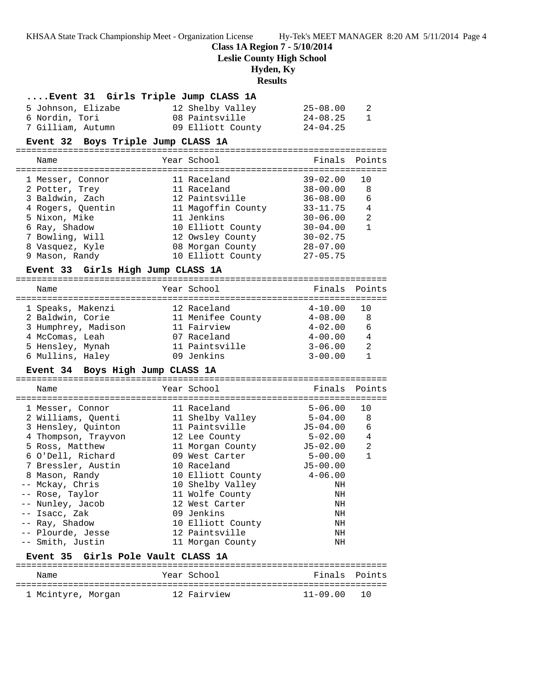**Class 1A Region 7 - 5/10/2014**

**Leslie County High School**

# **Hyden, Ky**

## **Results**

| Event 31 Girls Triple Jump CLASS 1A          |                    |              |              |
|----------------------------------------------|--------------------|--------------|--------------|
| 5 Johnson, Elizabe                           | 12 Shelby Valley   | $25 - 08.00$ | 2            |
| 6 Nordin, Tori                               | 08 Paintsville     | $24 - 08.25$ | $\mathbf{1}$ |
| 7 Gilliam, Autumn                            | 09 Elliott County  | $24 - 04.25$ |              |
| Event 32 Boys Triple Jump CLASS 1A           |                    |              |              |
| Name                                         | Year School        | Finals       | Points       |
| 1 Messer, Connor                             | 11 Raceland        | $39 - 02.00$ | 10           |
| 2 Potter, Trey                               | 11 Raceland        | $38 - 00.00$ | 8            |
| 3 Baldwin, Zach                              | 12 Paintsville     | $36 - 08.00$ | 6            |
| 4 Rogers, Quentin                            | 11 Magoffin County | $33 - 11.75$ | 4            |
| 5 Nixon, Mike                                | 11 Jenkins         | $30 - 06.00$ | 2            |
| 6 Ray, Shadow                                | 10 Elliott County  | $30 - 04.00$ | $\mathbf{1}$ |
| 7 Bowling, Will                              | 12 Owsley County   | $30 - 02.75$ |              |
| 8 Vasquez, Kyle                              | 08 Morgan County   | $28 - 07.00$ |              |
| 9 Mason, Randy                               | 10 Elliott County  | $27 - 05.75$ |              |
| Event 33 Girls High Jump CLASS 1A            |                    |              |              |
| Name                                         | Year School        | Finals       | Points       |
| 1 Speaks, Makenzi                            | 12 Raceland        | $4 - 10.00$  | 10           |
| 2 Baldwin, Corie                             | 11 Menifee County  | $4 - 08.00$  | 8            |
| 3 Humphrey, Madison                          | 11 Fairview        | $4 - 02.00$  | 6            |
| 4 McComas, Leah                              | 07 Raceland        | $4 - 00.00$  | 4            |
| 5 Hensley, Mynah                             | 11 Paintsville     | $3 - 06.00$  | 2            |
| 6 Mullins, Haley                             | 09 Jenkins         | $3 - 00.00$  | $\mathbf{1}$ |
| Event 34 Boys High Jump CLASS 1A             |                    |              |              |
| Name                                         | Year School        | Finals       | Points       |
| 1 Messer, Connor                             | 11 Raceland        | $5 - 06.00$  | 10           |
| 2 Williams, Quenti                           | 11 Shelby Valley   | $5 - 04.00$  | 8            |
| 3 Hensley, Quinton                           | 11 Paintsville     | J5-04.00     | 6            |
| 4 Thompson, Trayvon                          | 12 Lee County      | $5 - 02.00$  | 4            |
| 5 Ross, Matthew                              | 11 Morgan County   | $J5-02.00$   | 2            |
| 6 O'Dell, Richard                            | 09 West Carter     | 5-00.00      | $\mathbf{1}$ |
| 7 Bressler, Austin                           | 10 Raceland        | $J5 - 00.00$ |              |
| 8 Mason, Randy                               | 10 Elliott County  | $4 - 06.00$  |              |
| -- Mckay, Chris                              | 10 Shelby Valley   | ΝH           |              |
| -- Rose, Taylor                              | 11 Wolfe County    | ΝH           |              |
| -- Nunley, Jacob                             | 12 West Carter     | ΝH           |              |
| -- Isacc, Zak                                | 09 Jenkins         | ΝH           |              |
| -- Ray, Shadow                               | 10 Elliott County  | ΝH           |              |
| -- Plourde, Jesse<br>-- Smith, Justin        | 12 Paintsville     | ΝH           |              |
| Girls Pole Vault CLASS 1A<br><b>Event 35</b> | 11 Morgan County   | ΝH           |              |
|                                              |                    |              |              |
| Name                                         | Year School        | Finals       | Points       |
| 1 Mcintyre, Morgan                           | 12 Fairview        | $11 - 09.00$ | 10           |